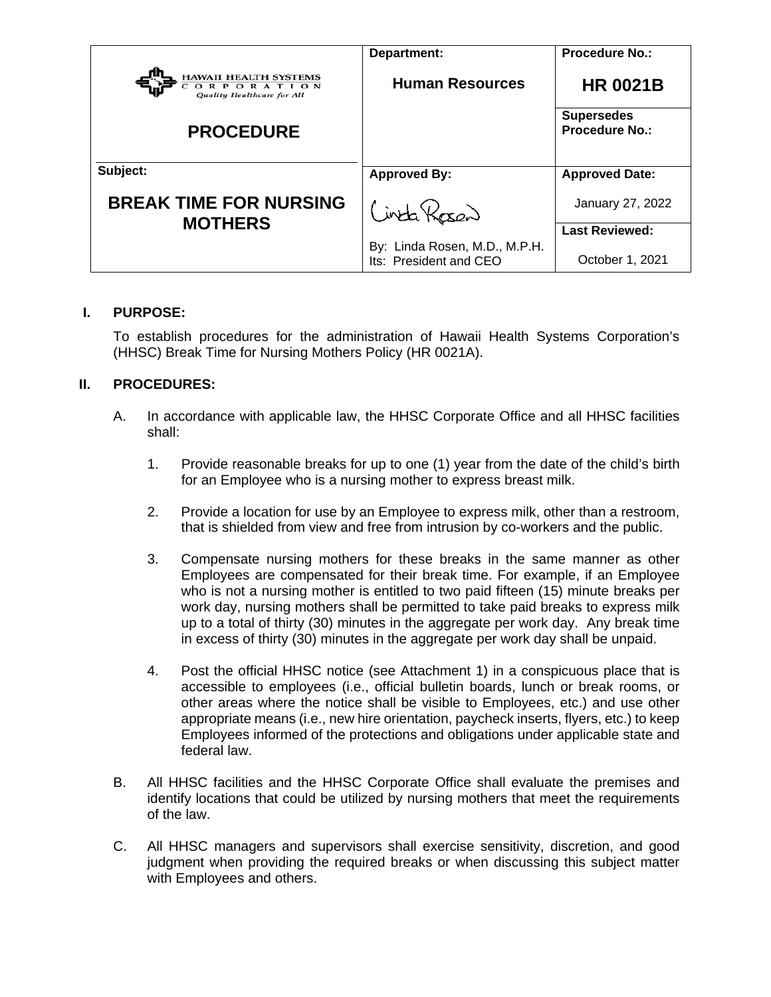|                                                                         | Department:                                             | <b>Procedure No.:</b>                      |
|-------------------------------------------------------------------------|---------------------------------------------------------|--------------------------------------------|
| HAWAII HEALTH SYSTEMS<br><b>RPORATION</b><br>Quality Healthcare for All | <b>Human Resources</b>                                  | <b>HR 0021B</b>                            |
| <b>PROCEDURE</b>                                                        |                                                         | <b>Supersedes</b><br><b>Procedure No.:</b> |
| Subject:                                                                | <b>Approved By:</b>                                     | <b>Approved Date:</b>                      |
| <b>BREAK TIME FOR NURSING</b><br><b>MOTHERS</b>                         | inta Kosan                                              | January 27, 2022                           |
|                                                                         |                                                         | <b>Last Reviewed:</b>                      |
|                                                                         | By: Linda Rosen, M.D., M.P.H.<br>Its: President and CEO | October 1, 2021                            |

#### **I. PURPOSE:**

To establish procedures for the administration of Hawaii Health Systems Corporation's (HHSC) Break Time for Nursing Mothers Policy (HR 0021A).

### **II. PROCEDURES:**

- A. In accordance with applicable law, the HHSC Corporate Office and all HHSC facilities shall:
	- 1. Provide reasonable breaks for up to one (1) year from the date of the child's birth for an Employee who is a nursing mother to express breast milk.
	- 2. Provide a location for use by an Employee to express milk, other than a restroom, that is shielded from view and free from intrusion by co-workers and the public.
	- 3. Compensate nursing mothers for these breaks in the same manner as other Employees are compensated for their break time. For example, if an Employee who is not a nursing mother is entitled to two paid fifteen (15) minute breaks per work day, nursing mothers shall be permitted to take paid breaks to express milk up to a total of thirty (30) minutes in the aggregate per work day. Any break time in excess of thirty (30) minutes in the aggregate per work day shall be unpaid.
	- 4. Post the official HHSC notice (see Attachment 1) in a conspicuous place that is accessible to employees (i.e., official bulletin boards, lunch or break rooms, or other areas where the notice shall be visible to Employees, etc.) and use other appropriate means (i.e., new hire orientation, paycheck inserts, flyers, etc.) to keep Employees informed of the protections and obligations under applicable state and federal law.
- B. All HHSC facilities and the HHSC Corporate Office shall evaluate the premises and identify locations that could be utilized by nursing mothers that meet the requirements of the law.
- C. All HHSC managers and supervisors shall exercise sensitivity, discretion, and good judgment when providing the required breaks or when discussing this subject matter with Employees and others.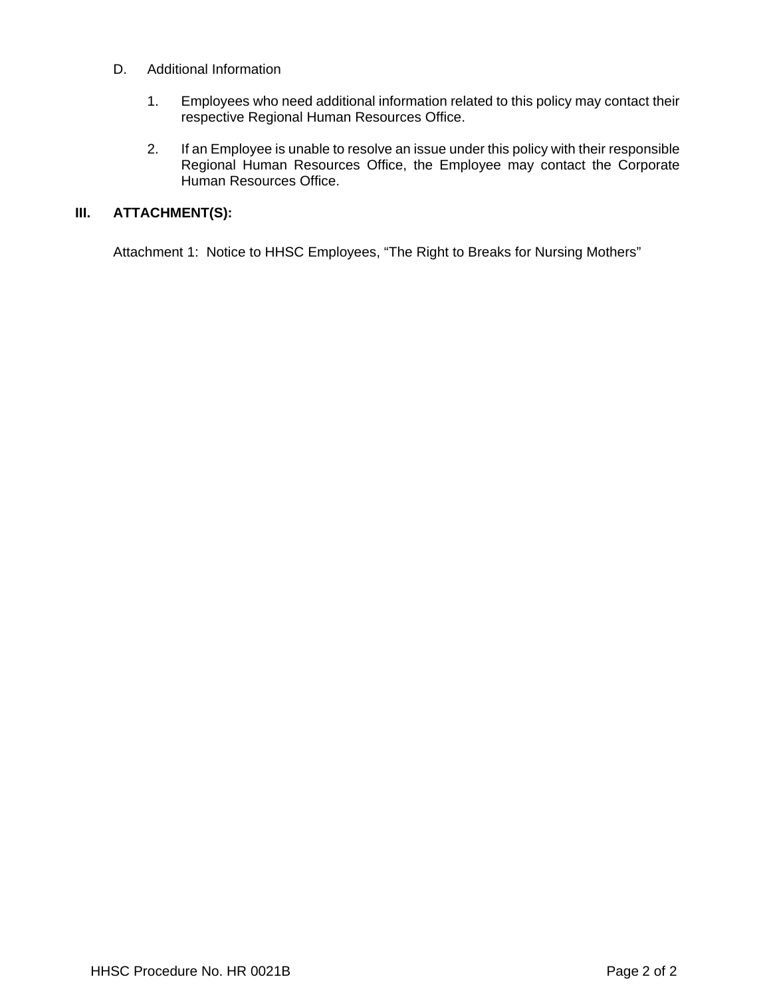- D. Additional Information
	- 1. Employees who need additional information related to this policy may contact their respective Regional Human Resources Office.
	- 2. If an Employee is unable to resolve an issue under this policy with their responsible Regional Human Resources Office, the Employee may contact the Corporate Human Resources Office.

## **III. ATTACHMENT(S):**

Attachment 1: Notice to HHSC Employees, "The Right to Breaks for Nursing Mothers"